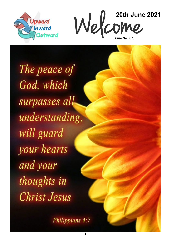



The peace of God, which surpasses all understanding, will guard your hearts and your thoughts in **Christ Jesus** 

Philippians 4:7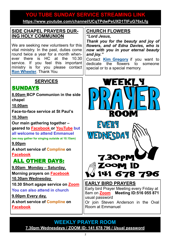# **YOU TUBE SUNDAY SERVICE STREAMING LINK YOU TUBE SUNDAY SERVICE STREAMING LINK**

**[https://www.youtube.com/channel/UCqTPdwPeUXD1TIFuG76xLfg](https://nam12.safelinks.protection.outlook.com/?url=https%3A%2F%2Fwww.youtube.com%2Fchannel%2FUCqTPdwPeUXD1TIFuG76xLfg&data=04%7C01%7C%7C98819de32b254e54143f08d89b609eed%7C84df9e7fe9f640afb435aaaaaaaaaaaa%7C1%7C0%7C637430186562964999%7CUnknown%7CTWFpbGZsb3d8e) <https://www.youtube.com/channel/UCqTPdwPeUXD1TIFuG76xLfg>**

#### **SIDE CHAPEL PRAYERS DUR-ING HOLY COMMUNION**

We are seeking new volunteers for this vital ministry. In the past, duties come round twice a year for a month whenever there is HC at the 10.30 service. If you feel this important ministry is for you please contact **[Ron Wheeler](mailto:ronwheeler10@gmail.com?subject=Side%20Chapel%20prayer%20team)**. Thank You.

### **SERVICES**

## **SUNDAYS**

**8.00am BCP Communion in the side chapel**

**10.00am**

**Face-to-face service at St Paul's** 

**10.30am**

**Our main gathering together – geared to [Facebook or](https://www.facebook.com/emmanuelwithstpauls/) [YouTube](https://www.youtube.com/channel/UCqTPdwPeUXD1TIFuG76xLfg) but all welcome to attend Emmanuel (we may gather for singing outside at 10.15am)**

**9.00pm**

**A short service of [Compline](https://www.emmanuelplymouth.co.uk/Publisher/File.aspx?ID=259665) on [Facebook](https://www.facebook.com/emmanuelwithstpauls/)**

## ALL OTHER DAYS:

**9.00am Monday – Saturday**, **Morning prayers on [Facebook](https://www.facebook.com/emmanuelwithstpauls/)**

**10.30am Wednesday**

**10.30 Short agape service on [Zoom](https://us02web.zoom.us/j/87669471222?pwd=amNNVGJ4QmtIeFhlTlFmRTRTV29ndz09)**

**You can also attend in church**

**9.00pm Every day,**

**A short service of [Compline](https://www.emmanuelplymouth.co.uk/Publisher/File.aspx?ID=259665) on [Facebook](https://www.facebook.com/emmanuelwithstpauls/)**

#### **CHURCH FLOWERS**

*"Lord Jesus,*

*Thank you for the beauty and joy of flowers, and of Edna Davies, who is now with you in your eternal beauty and joy."*

Contact **[Kim Gregory](mailto:kimkggregory@btinternet.com?subject=Church%20flowers....)** if you want to dedicate the flowers to someone special or to a special memory.



Or join Steven Anderson in the Oval Room at Emmanuel

#### **WEEKLY PRAYER ROOM [7.30pm Wednesdays / ZOOM ID: 141 678 796 / Usual password](https://us04web.zoom.us/j/141678796?pwd=VERURTVtcWQzbkZvdXFRMnJpKzg3dz09)**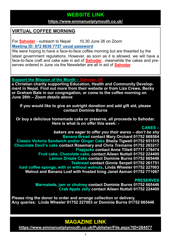## **WEBSITE LINK WEBSITE LINK**

#### **https://www.emmanuelplymouth.co.uk/ <https://www.emmanuelplymouth.co.uk/>**

#### **VIRTUAL COFFEE MORNING**

For **[Sahodar](https://sahodaruk.weebly.com/)** - outreach to Nepal 10.30 June 26 on Zoom **[Meeting ID: 872 8636 7757 usual](https://us02web.zoom.us/j/87286367757?pwd=d1RRYTVWNG5SMUNDMUhoRmY2RlNBUT09) password**

We were hoping to have a face-to-face coffee morning but are thwarted by the latest government regulations. However, as soon as it is allowed, we will have a face-to-face craft and cake sale in aid of **[Sahodar](https://sahodaruk.weebly.com/)**...meanwhile the cakes and preserves ordered in June via the Newsletter are all in aid of **[Sahodar](https://sahodaruk.weebly.com/)**

**Support the Mission of the Month – [Sahodar.UK](https://sahodaruk.weebly.com/)**

**a Christian charity supporting Education, Health and Community Development in Nepal. Find out more from their website or from Liza Crewe, Becky or Graham Bale in our congregation, or come to the coffee morning on June 26th –** *Zoom details above*

**If you would like to give an outright donation and add gift aid, please contact Dominie Burns**

**Or buy a delicious homemade cake or preserve, all proceeds to Sahodar. Here is what is on offer this week: -**

#### **CAKES –**

*bakers are eager to offer you their wares – don't be shy* **Banana Bread contact Mary Orchard 01752 668564 Classic Victoria Sandwich and/or Ginger Cake Sheila Tigwell 01752 651515 Chocolate Devil's cake contact Rosemary and Chris Tremaine 01752 263217 Flapjacks contact Anne Tillett 07717 378474 Fruit cake, Chocolate cake, contact Aileen Nuttall 01752 224400 Lemon Drizzle Cake contact Dominie Burns 01752 665446 Teabread contact Ginnie Serpell 01752 261751 Iced coffee sponge, with or without walnuts, Linda Wheeler 01752 227003 Walnut and Banana Loaf with frosted Icing Janet Asman 01752 771067**

#### **PRESERVES**

**Marmalade, jam or chutney contact Dominie Burns 01752 665446 Crab Apple Jelly contact Aileen Nuttall 01752 224400**

**Please ring the donor to order and arrange collection or delivery. Any queries: Linda Wheeler 01752 227003 or Dominie Burns 01752 665446**

## **MAGAZINE LINK**

**<https://www.emmanuelplymouth.co.uk/Publisher/File.aspx?ID=284577>**